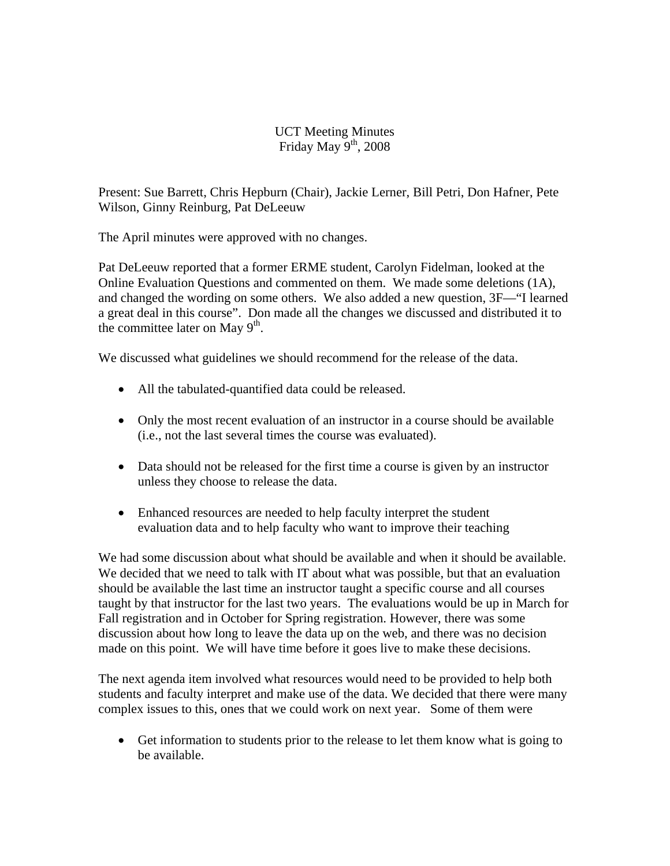## UCT Meeting Minutes Friday May  $9<sup>th</sup>$ , 2008

Present: Sue Barrett, Chris Hepburn (Chair), Jackie Lerner, Bill Petri, Don Hafner, Pete Wilson, Ginny Reinburg, Pat DeLeeuw

The April minutes were approved with no changes.

Pat DeLeeuw reported that a former ERME student, Carolyn Fidelman, looked at the Online Evaluation Questions and commented on them. We made some deletions (1A), and changed the wording on some others. We also added a new question, 3F—"I learned a great deal in this course". Don made all the changes we discussed and distributed it to the committee later on May  $9<sup>th</sup>$ .

We discussed what guidelines we should recommend for the release of the data.

- All the tabulated-quantified data could be released.
- Only the most recent evaluation of an instructor in a course should be available (i.e., not the last several times the course was evaluated).
- Data should not be released for the first time a course is given by an instructor unless they choose to release the data.
- Enhanced resources are needed to help faculty interpret the student evaluation data and to help faculty who want to improve their teaching

We had some discussion about what should be available and when it should be available. We decided that we need to talk with IT about what was possible, but that an evaluation should be available the last time an instructor taught a specific course and all courses taught by that instructor for the last two years. The evaluations would be up in March for Fall registration and in October for Spring registration. However, there was some discussion about how long to leave the data up on the web, and there was no decision made on this point. We will have time before it goes live to make these decisions.

The next agenda item involved what resources would need to be provided to help both students and faculty interpret and make use of the data. We decided that there were many complex issues to this, ones that we could work on next year. Some of them were

• Get information to students prior to the release to let them know what is going to be available.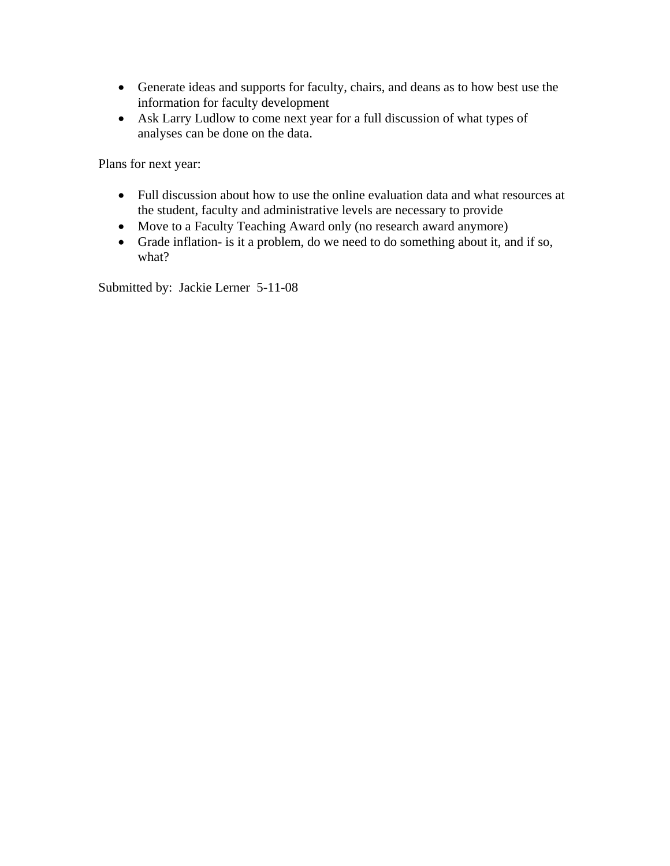- Generate ideas and supports for faculty, chairs, and deans as to how best use the information for faculty development
- Ask Larry Ludlow to come next year for a full discussion of what types of analyses can be done on the data.

Plans for next year:

- Full discussion about how to use the online evaluation data and what resources at the student, faculty and administrative levels are necessary to provide
- Move to a Faculty Teaching Award only (no research award anymore)
- Grade inflation- is it a problem, do we need to do something about it, and if so, what?

Submitted by: Jackie Lerner 5-11-08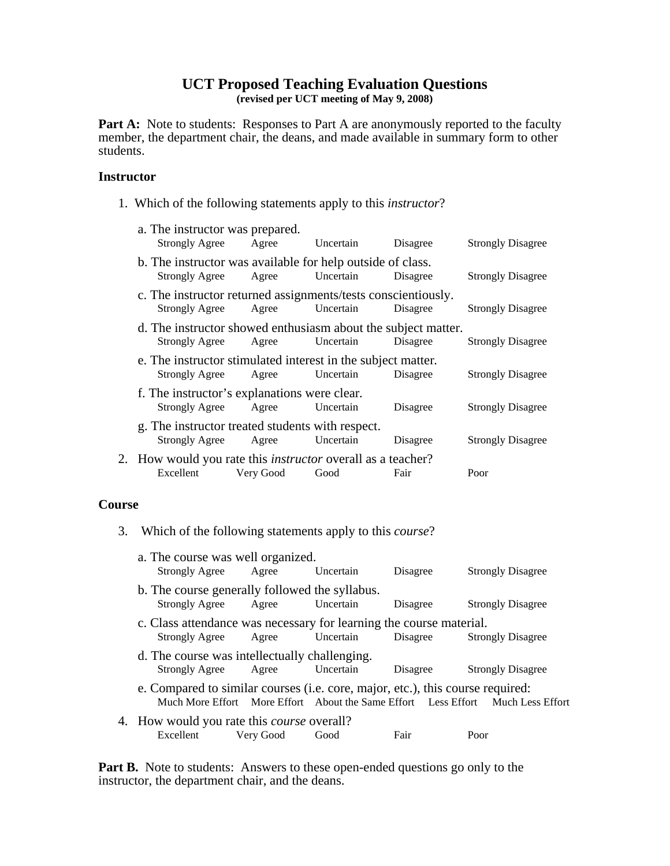# **UCT Proposed Teaching Evaluation Questions**

**(revised per UCT meeting of May 9, 2008)** 

Part A: Note to students: Responses to Part A are anonymously reported to the faculty member, the department chair, the deans, and made available in summary form to other students.

#### **Instructor**

1. Which of the following statements apply to this *instructor*?

| a. The instructor was prepared.<br><b>Strongly Agree</b>                               | Agree     | Uncertain | Disagree | <b>Strongly Disagree</b> |
|----------------------------------------------------------------------------------------|-----------|-----------|----------|--------------------------|
| b. The instructor was available for help outside of class.<br><b>Strongly Agree</b>    | Agree     | Uncertain | Disagree | <b>Strongly Disagree</b> |
| c. The instructor returned assignments/tests conscientiously.<br><b>Strongly Agree</b> | Agree     | Uncertain | Disagree | <b>Strongly Disagree</b> |
| d. The instructor showed enthusiasm about the subject matter.<br><b>Strongly Agree</b> | Agree     | Uncertain | Disagree | <b>Strongly Disagree</b> |
| e. The instructor stimulated interest in the subject matter.<br><b>Strongly Agree</b>  | Agree     | Uncertain | Disagree | <b>Strongly Disagree</b> |
| f. The instructor's explanations were clear.<br><b>Strongly Agree</b>                  | Agree     | Uncertain | Disagree | <b>Strongly Disagree</b> |
| g. The instructor treated students with respect.<br>Strongly Agree                     | Agree     | Uncertain | Disagree | <b>Strongly Disagree</b> |
| 2. How would you rate this <i>instructor</i> overall as a teacher?<br>Excellent        | Very Good | Good      | Fair     | Poor                     |
|                                                                                        |           |           |          |                          |

### **Course**

3. Which of the following statements apply to this *course*?

| a. The course was well organized.<br>Strongly Agree                                                                                                               | Agree     | Uncertain | Disagree | <b>Strongly Disagree</b> |  |  |
|-------------------------------------------------------------------------------------------------------------------------------------------------------------------|-----------|-----------|----------|--------------------------|--|--|
| b. The course generally followed the syllabus.<br><b>Strongly Agree</b>                                                                                           | Agree     | Uncertain | Disagree | <b>Strongly Disagree</b> |  |  |
| c. Class attendance was necessary for learning the course material.<br>Uncertain<br>Disagree<br><b>Strongly Agree</b><br><b>Strongly Disagree</b><br>Agree        |           |           |          |                          |  |  |
| d. The course was intellectually challenging.<br><b>Strongly Agree</b>                                                                                            | Agree     | Uncertain | Disagree | <b>Strongly Disagree</b> |  |  |
| e. Compared to similar courses (i.e. core, major, etc.), this course required:<br>Much More Effort More Effort About the Same Effort Less Effort Much Less Effort |           |           |          |                          |  |  |
| 4. How would you rate this <i>course</i> overall?<br>Excellent                                                                                                    | Very Good | Good      | Fair     | Poor                     |  |  |

Part B. Note to students: Answers to these open-ended questions go only to the instructor, the department chair, and the deans.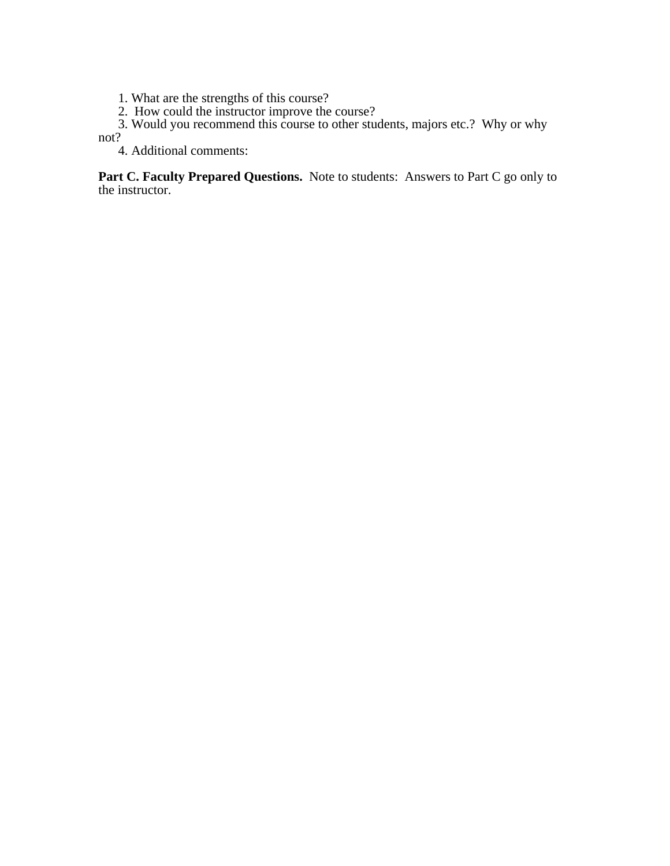1. What are the strengths of this course?

2. How could the instructor improve the course?

3. Would you recommend this course to other students, majors etc.? Why or why

not?

4. Additional comments:

Part C. Faculty Prepared Questions. Note to students: Answers to Part C go only to the instructor.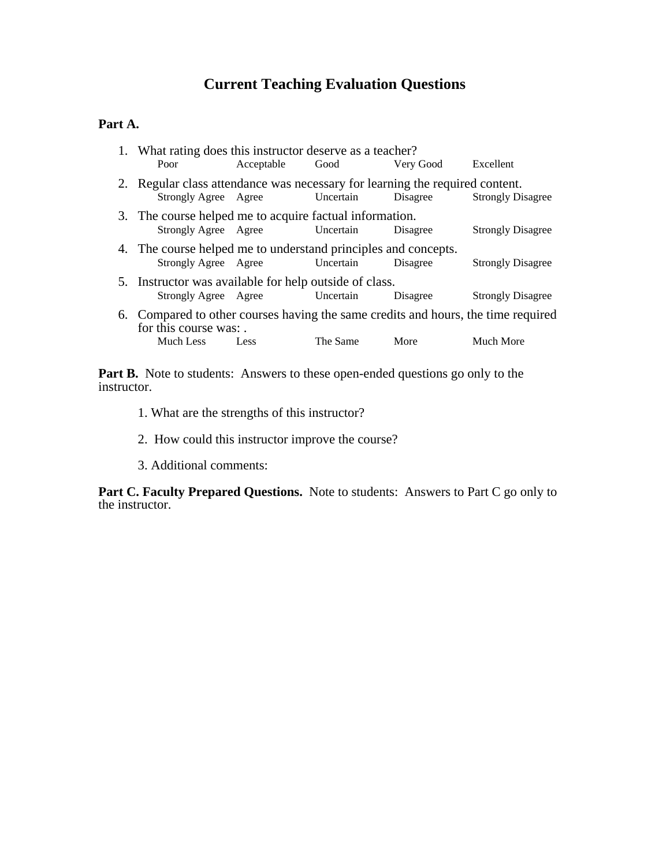# **Current Teaching Evaluation Questions**

## **Part A.**

| 1. What rating does this instructor deserve as a teacher?                                                                                   |                                |                            |           |                          |  |
|---------------------------------------------------------------------------------------------------------------------------------------------|--------------------------------|----------------------------|-----------|--------------------------|--|
| Poor                                                                                                                                        | Acceptable                     | Good                       | Very Good | Excellent                |  |
| 2. Regular class attendance was necessary for learning the required content.<br>Strongly Agree Agree                                        |                                | Uncertain                  | Disagree  | <b>Strongly Disagree</b> |  |
| 3. The course helped me to acquire factual information.                                                                                     | Strongly Agree Agree Uncertain |                            | Disagree  | <b>Strongly Disagree</b> |  |
| 4. The course helped me to understand principles and concepts.<br>Strongly Agree Agree<br>Uncertain<br>Disagree<br><b>Strongly Disagree</b> |                                |                            |           |                          |  |
| 5. Instructor was available for help outside of class.<br>Strongly Agree Agree                                                              |                                | <b>Example 1</b> Uncertain | Disagree  | <b>Strongly Disagree</b> |  |
| 6. Compared to other courses having the same credits and hours, the time required<br>for this course was:                                   |                                |                            |           |                          |  |
| Much Less                                                                                                                                   | Less                           | The Same                   | More      | Much More                |  |

Part B. Note to students: Answers to these open-ended questions go only to the instructor.

- 1. What are the strengths of this instructor?
- 2. How could this instructor improve the course?
- 3. Additional comments:

Part C. Faculty Prepared Questions. Note to students: Answers to Part C go only to the instructor.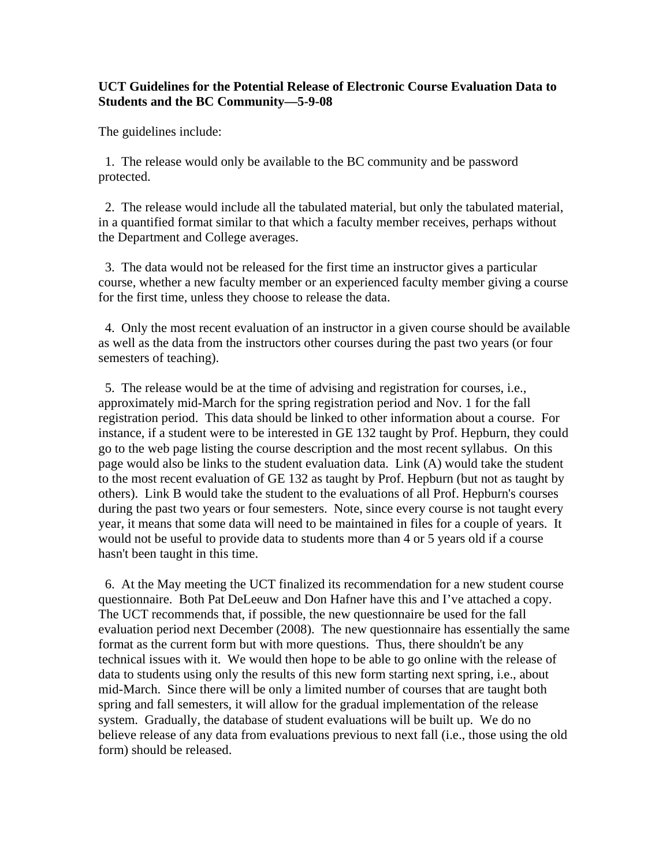### **UCT Guidelines for the Potential Release of Electronic Course Evaluation Data to Students and the BC Community—5-9-08**

The guidelines include:

 1. The release would only be available to the BC community and be password protected.

 2. The release would include all the tabulated material, but only the tabulated material, in a quantified format similar to that which a faculty member receives, perhaps without the Department and College averages.

 3. The data would not be released for the first time an instructor gives a particular course, whether a new faculty member or an experienced faculty member giving a course for the first time, unless they choose to release the data.

 4. Only the most recent evaluation of an instructor in a given course should be available as well as the data from the instructors other courses during the past two years (or four semesters of teaching).

 5. The release would be at the time of advising and registration for courses, i.e., approximately mid-March for the spring registration period and Nov. 1 for the fall registration period. This data should be linked to other information about a course. For instance, if a student were to be interested in GE 132 taught by Prof. Hepburn, they could go to the web page listing the course description and the most recent syllabus. On this page would also be links to the student evaluation data. Link (A) would take the student to the most recent evaluation of GE 132 as taught by Prof. Hepburn (but not as taught by others). Link B would take the student to the evaluations of all Prof. Hepburn's courses during the past two years or four semesters. Note, since every course is not taught every year, it means that some data will need to be maintained in files for a couple of years. It would not be useful to provide data to students more than 4 or 5 years old if a course hasn't been taught in this time.

 6. At the May meeting the UCT finalized its recommendation for a new student course questionnaire. Both Pat DeLeeuw and Don Hafner have this and I've attached a copy. The UCT recommends that, if possible, the new questionnaire be used for the fall evaluation period next December (2008). The new questionnaire has essentially the same format as the current form but with more questions. Thus, there shouldn't be any technical issues with it. We would then hope to be able to go online with the release of data to students using only the results of this new form starting next spring, i.e., about mid-March. Since there will be only a limited number of courses that are taught both spring and fall semesters, it will allow for the gradual implementation of the release system. Gradually, the database of student evaluations will be built up. We do no believe release of any data from evaluations previous to next fall (i.e., those using the old form) should be released.